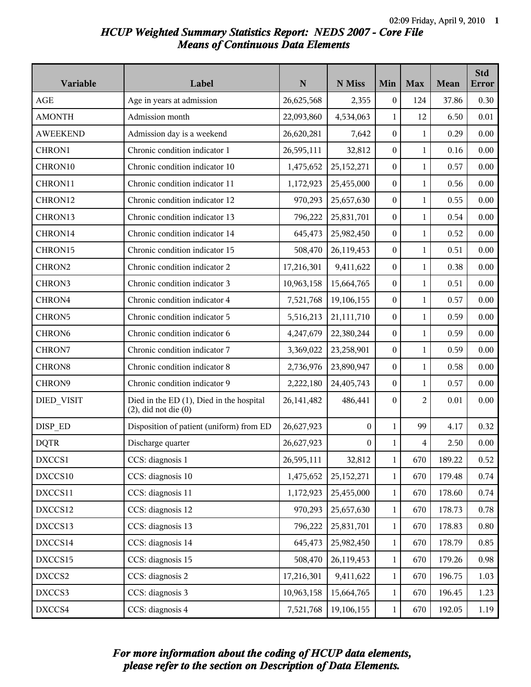# *HCUP Weighted Summary Statistics Report: NEDS 2007 - Core File Means of Continuous Data Elements*

| Variable           | Label                                                                 | $\mathbf N$  | N Miss           | Min              | <b>Max</b>     | <b>Mean</b> | <b>Std</b><br><b>Error</b> |
|--------------------|-----------------------------------------------------------------------|--------------|------------------|------------------|----------------|-------------|----------------------------|
| <b>AGE</b>         | Age in years at admission                                             | 26,625,568   | 2,355            | 0                | 124            | 37.86       | 0.30                       |
| <b>AMONTH</b>      | Admission month                                                       | 22,093,860   | 4,534,063        | $\mathbf{1}$     | 12             | 6.50        | 0.01                       |
| <b>AWEEKEND</b>    | Admission day is a weekend                                            | 26,620,281   | 7,642            | $\boldsymbol{0}$ | $\mathbf{1}$   | 0.29        | 0.00                       |
| CHRON1             | Chronic condition indicator 1                                         | 26,595,111   | 32,812           | $\boldsymbol{0}$ | $\mathbf{1}$   | 0.16        | 0.00                       |
| CHRON10            | Chronic condition indicator 10                                        | 1,475,652    | 25,152,271       | 0                | $\mathbf{1}$   | 0.57        | 0.00                       |
| CHRON11            | Chronic condition indicator 11                                        | 1,172,923    | 25,455,000       | 0                | $\mathbf{1}$   | 0.56        | 0.00                       |
| CHRON12            | Chronic condition indicator 12                                        | 970,293      | 25,657,630       | $\boldsymbol{0}$ | $\mathbf{1}$   | 0.55        | 0.00                       |
| CHRON13            | Chronic condition indicator 13                                        | 796,222      | 25,831,701       | $\boldsymbol{0}$ | $\mathbf{1}$   | 0.54        | 0.00                       |
| CHRON14            | Chronic condition indicator 14                                        | 645,473      | 25,982,450       | 0                | $\mathbf{1}$   | 0.52        | 0.00                       |
| CHRON15            | Chronic condition indicator 15                                        | 508,470      | 26,119,453       | 0                | $\mathbf{1}$   | 0.51        | 0.00                       |
| CHRON2             | Chronic condition indicator 2                                         | 17,216,301   | 9,411,622        | 0                | $\mathbf{1}$   | 0.38        | 0.00                       |
| CHRON3             | Chronic condition indicator 3                                         | 10,963,158   | 15,664,765       | $\boldsymbol{0}$ | $\mathbf{1}$   | 0.51        | 0.00                       |
| CHRON4             | Chronic condition indicator 4                                         | 7,521,768    | 19,106,155       | $\boldsymbol{0}$ | $\mathbf{1}$   | 0.57        | 0.00                       |
| CHRON5             | Chronic condition indicator 5                                         | 5,516,213    | 21,111,710       | 0                | $\mathbf{1}$   | 0.59        | 0.00                       |
| CHRON <sub>6</sub> | Chronic condition indicator 6                                         | 4,247,679    | 22,380,244       | 0                | $\mathbf{1}$   | 0.59        | 0.00                       |
| CHRON7             | Chronic condition indicator 7                                         | 3,369,022    | 23,258,901       | 0                | $\mathbf{1}$   | 0.59        | 0.00                       |
| CHRON <sub>8</sub> | Chronic condition indicator 8                                         | 2,736,976    | 23,890,947       | $\boldsymbol{0}$ | $\mathbf{1}$   | 0.58        | 0.00                       |
| CHRON9             | Chronic condition indicator 9                                         | 2,222,180    | 24,405,743       | $\boldsymbol{0}$ | $\mathbf{1}$   | 0.57        | 0.00                       |
| DIED_VISIT         | Died in the ED (1), Died in the hospital<br>$(2)$ , did not die $(0)$ | 26, 141, 482 | 486,441          | $\boldsymbol{0}$ | $\overline{2}$ | 0.01        | 0.00                       |
| DISP_ED            | Disposition of patient (uniform) from ED                              | 26,627,923   | $\boldsymbol{0}$ | $\mathbf{1}$     | 99             | 4.17        | 0.32                       |
| <b>DQTR</b>        | Discharge quarter                                                     | 26,627,923   | $\boldsymbol{0}$ | $\mathbf{1}$     | 4              | 2.50        | 0.00                       |
| DXCCS1             | CCS: diagnosis 1                                                      | 26,595,111   | 32,812           | $\mathbf{1}$     | 670            | 189.22      | 0.52                       |
| DXCCS10            | CCS: diagnosis 10                                                     | 1,475,652    | 25, 152, 271     | $\mathbf{1}$     | 670            | 179.48      | 0.74                       |
| DXCCS11            | CCS: diagnosis 11                                                     | 1,172,923    | 25,455,000       | $\mathbf{1}$     | 670            | 178.60      | 0.74                       |
| DXCCS12            | CCS: diagnosis 12                                                     | 970,293      | 25,657,630       | 1                | 670            | 178.73      | 0.78                       |
| DXCCS13            | CCS: diagnosis 13                                                     | 796,222      | 25,831,701       | $\mathbf{1}$     | 670            | 178.83      | 0.80                       |
| DXCCS14            | CCS: diagnosis 14                                                     | 645,473      | 25,982,450       | $\mathbf{1}$     | 670            | 178.79      | 0.85                       |
| DXCCS15            | CCS: diagnosis 15                                                     | 508,470      | 26,119,453       | $\mathbf{1}$     | 670            | 179.26      | 0.98                       |
| DXCCS2             | CCS: diagnosis 2                                                      | 17,216,301   | 9,411,622        | $\mathbf{1}$     | 670            | 196.75      | 1.03                       |
| DXCCS3             | CCS: diagnosis 3                                                      | 10,963,158   | 15,664,765       | 1                | 670            | 196.45      | 1.23                       |
| DXCCS4             | CCS: diagnosis 4                                                      | 7,521,768    | 19,106,155       | $\mathbf{1}$     | 670            | 192.05      | 1.19                       |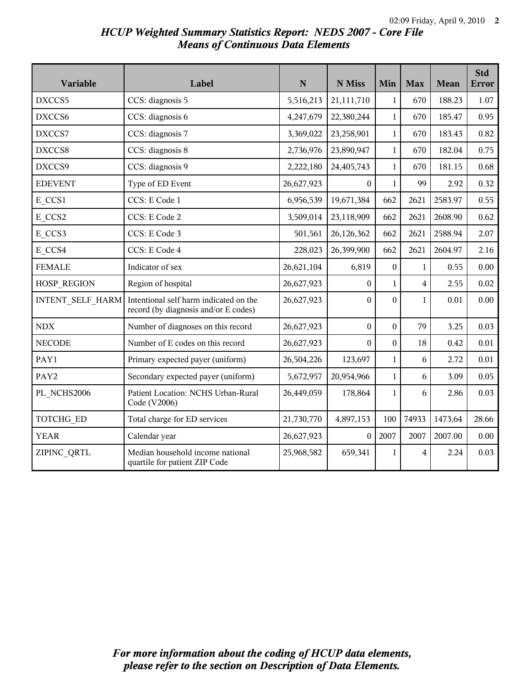## *HCUP Weighted Summary Statistics Report: NEDS 2007 - Core File Means of Continuous Data Elements*

| Variable                | Label                                                                          | N          | N Miss           | Min              | <b>Max</b>              | Mean    | <b>Std</b><br><b>Error</b> |
|-------------------------|--------------------------------------------------------------------------------|------------|------------------|------------------|-------------------------|---------|----------------------------|
| DXCCS5                  | CCS: diagnosis 5                                                               | 5,516,213  | 21,111,710       | $\mathbf{1}$     | 670                     | 188.23  | 1.07                       |
| DXCCS6                  | CCS: diagnosis 6                                                               | 4,247,679  | 22,380,244       | $\mathbf{1}$     | 670                     | 185.47  | 0.95                       |
| DXCCS7                  | CCS: diagnosis 7                                                               | 3,369,022  | 23,258,901       | $\mathbf{1}$     | 670                     | 183.43  | 0.82                       |
| DXCCS8                  | CCS: diagnosis 8                                                               | 2,736,976  | 23,890,947       | $\mathbf{1}$     | 670                     | 182.04  | 0.75                       |
| DXCCS9                  | CCS: diagnosis 9                                                               | 2,222,180  | 24,405,743       | $\mathbf{1}$     | 670                     | 181.15  | 0.68                       |
| <b>EDEVENT</b>          | Type of ED Event                                                               | 26,627,923 | 0                | $\mathbf{1}$     | 99                      | 2.92    | 0.32                       |
| E CCS1                  | CCS: E Code 1                                                                  | 6,956,539  | 19,671,384       | 662              | 2621                    | 2583.97 | 0.55                       |
| E CCS2                  | CCS: E Code 2                                                                  | 3,509,014  | 23,118,909       | 662              | 2621                    | 2608.90 | 0.62                       |
| E CCS3                  | CCS: E Code 3                                                                  | 501,561    | 26,126,362       | 662              | 2621                    | 2588.94 | 2.07                       |
| E CCS4                  | CCS: E Code 4                                                                  | 228,023    | 26,399,900       | 662              | 2621                    | 2604.97 | 2.16                       |
| <b>FEMALE</b>           | Indicator of sex                                                               | 26,621,104 | 6,819            | $\boldsymbol{0}$ | $\mathbf{1}$            | 0.55    | 0.00                       |
| HOSP_REGION             | Region of hospital                                                             | 26,627,923 | $\boldsymbol{0}$ | $\mathbf{1}$     | $\overline{\mathbf{4}}$ | 2.55    | 0.02                       |
| <b>INTENT SELF HARM</b> | Intentional self harm indicated on the<br>record (by diagnosis and/or E codes) | 26,627,923 | $\theta$         | $\mathbf{0}$     | $\mathbf{1}$            | 0.01    | 0.00                       |
| NDX                     | Number of diagnoses on this record                                             | 26,627,923 | $\overline{0}$   | $\boldsymbol{0}$ | 79                      | 3.25    | 0.03                       |
| <b>NECODE</b>           | Number of E codes on this record                                               | 26,627,923 | $\Omega$         | $\boldsymbol{0}$ | 18                      | 0.42    | 0.01                       |
| PAY1                    | Primary expected payer (uniform)                                               | 26,504,226 | 123,697          | $\mathbf{1}$     | 6                       | 2.72    | 0.01                       |
| PAY2                    | Secondary expected payer (uniform)                                             | 5,672,957  | 20,954,966       | $\mathbf{1}$     | 6                       | 3.09    | 0.05                       |
| PL NCHS2006             | Patient Location: NCHS Urban-Rural<br>Code (V2006)                             | 26,449,059 | 178,864          | $\mathbf{1}$     | 6                       | 2.86    | 0.03                       |
| TOTCHG_ED               | Total charge for ED services                                                   | 21,730,770 | 4,897,153        | 100              | 74933                   | 1473.64 | 28.66                      |
| <b>YEAR</b>             | Calendar year                                                                  | 26,627,923 | $\theta$         | 2007             | 2007                    | 2007.00 | 0.00                       |
| ZIPINC_QRTL             | Median household income national<br>quartile for patient ZIP Code              | 25,968,582 | 659,341          | $\mathbf{1}$     | $\overline{4}$          | 2.24    | 0.03                       |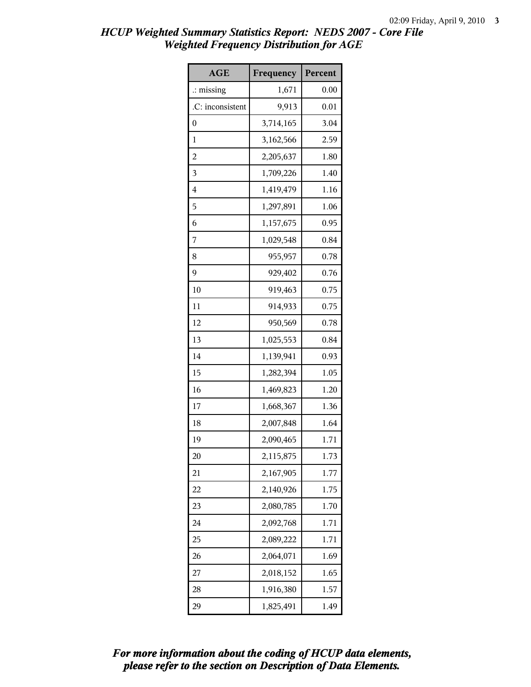| <b>AGE</b>           | Frequency | Percent |
|----------------------|-----------|---------|
| $\therefore$ missing | 1,671     | 0.00    |
| .C: inconsistent     | 9,913     | 0.01    |
| 0                    | 3,714,165 | 3.04    |
| 1                    | 3,162,566 | 2.59    |
| $\overline{c}$       | 2,205,637 | 1.80    |
| 3                    | 1,709,226 | 1.40    |
| 4                    | 1,419,479 | 1.16    |
| 5                    | 1,297,891 | 1.06    |
| 6                    | 1,157,675 | 0.95    |
| 7                    | 1,029,548 | 0.84    |
| 8                    | 955,957   | 0.78    |
| 9                    | 929,402   | 0.76    |
| 10                   | 919,463   | 0.75    |
| 11                   | 914,933   | 0.75    |
| 12                   | 950,569   | 0.78    |
| 13                   | 1,025,553 | 0.84    |
| 14                   | 1,139,941 | 0.93    |
| 15                   | 1,282,394 | 1.05    |
| 16                   | 1,469,823 | 1.20    |
| 17                   | 1,668,367 | 1.36    |
| 18                   | 2,007,848 | 1.64    |
| 19                   | 2,090,465 | 1.71    |
| 20                   | 2,115,875 | 1.73    |
| 21                   | 2,167,905 | 1.77    |
| 22                   | 2,140,926 | 1.75    |
| 23                   | 2,080,785 | 1.70    |
| 24                   | 2,092,768 | 1.71    |
| 25                   | 2,089,222 | 1.71    |
| 26                   | 2,064,071 | 1.69    |
| 27                   | 2,018,152 | 1.65    |
| 28                   | 1,916,380 | 1.57    |
| 29                   | 1,825,491 | 1.49    |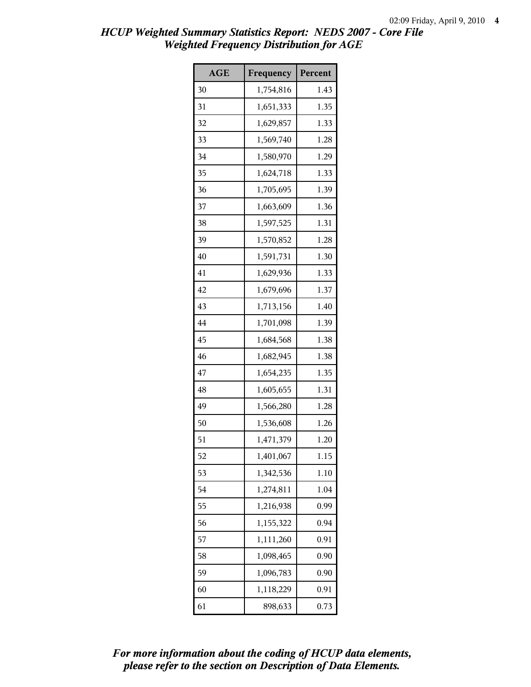| <b>AGE</b> | Frequency | Percent |
|------------|-----------|---------|
| 30         | 1,754,816 | 1.43    |
| 31         | 1,651,333 | 1.35    |
| 32         | 1,629,857 | 1.33    |
| 33         | 1,569,740 | 1.28    |
| 34         | 1,580,970 | 1.29    |
| 35         | 1,624,718 | 1.33    |
| 36         | 1,705,695 | 1.39    |
| 37         | 1,663,609 | 1.36    |
| 38         | 1,597,525 | 1.31    |
| 39         | 1,570,852 | 1.28    |
| 40         | 1,591,731 | 1.30    |
| 41         | 1,629,936 | 1.33    |
| 42         | 1,679,696 | 1.37    |
| 43         | 1,713,156 | 1.40    |
| 44         | 1,701,098 | 1.39    |
| 45         | 1,684,568 | 1.38    |
| 46         | 1,682,945 | 1.38    |
| 47         | 1,654,235 | 1.35    |
| 48         | 1,605,655 | 1.31    |
| 49         | 1,566,280 | 1.28    |
| 50         | 1,536,608 | 1.26    |
| 51         | 1,471,379 | 1.20    |
| 52         | 1,401,067 | 1.15    |
| 53         | 1,342,536 | 1.10    |
| 54         | 1,274,811 | 1.04    |
| 55         | 1,216,938 | 0.99    |
| 56         | 1,155,322 | 0.94    |
| 57         | 1,111,260 | 0.91    |
| 58         | 1,098,465 | 0.90    |
| 59         | 1,096,783 | 0.90    |
| 60         | 1,118,229 | 0.91    |
| 61         | 898,633   | 0.73    |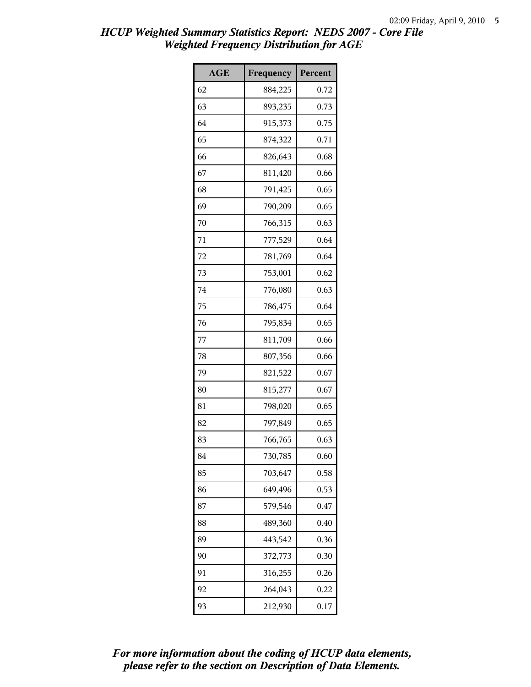| <b>AGE</b> | Frequency | Percent |
|------------|-----------|---------|
| 62         | 884,225   | 0.72    |
| 63         | 893,235   | 0.73    |
| 64         | 915,373   | 0.75    |
| 65         | 874,322   | 0.71    |
| 66         | 826,643   | 0.68    |
| 67         | 811,420   | 0.66    |
| 68         | 791,425   | 0.65    |
| 69         | 790,209   | 0.65    |
| 70         | 766,315   | 0.63    |
| 71         | 777,529   | 0.64    |
| 72         | 781,769   | 0.64    |
| 73         | 753,001   | 0.62    |
| 74         | 776,080   | 0.63    |
| 75         | 786,475   | 0.64    |
| 76         | 795,834   | 0.65    |
| 77         | 811,709   | 0.66    |
| 78         | 807,356   | 0.66    |
| 79         | 821,522   | 0.67    |
| 80         | 815,277   | 0.67    |
| 81         | 798,020   | 0.65    |
| 82         | 797,849   | 0.65    |
| 83         | 766,765   | 0.63    |
| 84         | 730,785   | 0.60    |
| 85         | 703,647   | 0.58    |
| 86         | 649,496   | 0.53    |
| 87         | 579,546   | 0.47    |
| 88         | 489,360   | 0.40    |
| 89         | 443,542   | 0.36    |
| 90         | 372,773   | 0.30    |
| 91         | 316,255   | 0.26    |
| 92         | 264,043   | 0.22    |
| 93         | 212,930   | 0.17    |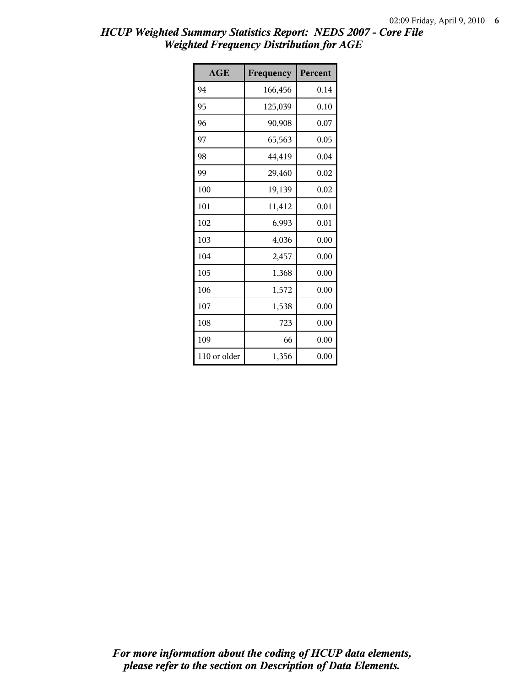| AGE          | Frequency | Percent |
|--------------|-----------|---------|
| 94           | 166,456   | 0.14    |
| 95           | 125,039   | 0.10    |
| 96           | 90,908    | 0.07    |
| 97           | 65,563    | 0.05    |
| 98           | 44,419    | 0.04    |
| 99           | 29,460    | 0.02    |
| 100          | 19,139    | 0.02    |
| 101          | 11,412    | 0.01    |
| 102          | 6,993     | 0.01    |
| 103          | 4,036     | 0.00    |
| 104          | 2,457     | 0.00    |
| 105          | 1,368     | 0.00    |
| 106          | 1,572     | 0.00    |
| 107          | 1,538     | 0.00    |
| 108          | 723       | 0.00    |
| 109          | 66        | 0.00    |
| 110 or older | 1,356     | 0.00    |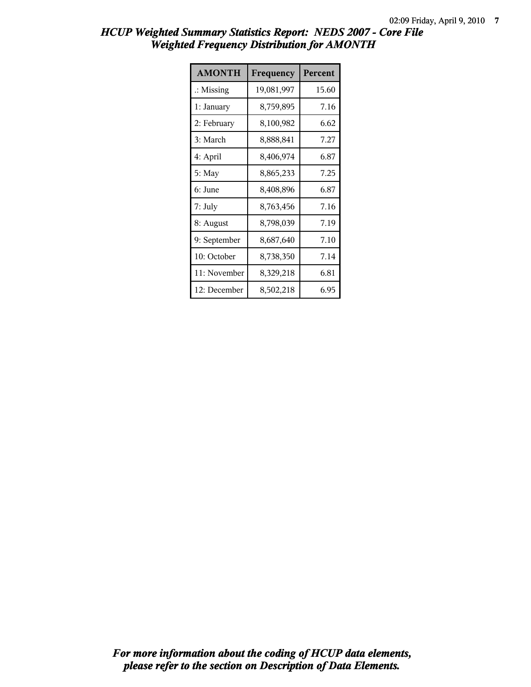| <b>AMONTH</b>        | Frequency  | Percent |
|----------------------|------------|---------|
| $\therefore$ Missing | 19,081,997 | 15.60   |
| 1: January           | 8,759,895  | 7.16    |
| 2: February          | 8,100,982  | 6.62    |
| 3: March             | 8,888,841  | 7.27    |
| 4: April             | 8,406,974  | 6.87    |
| 5: May               | 8,865,233  | 7.25    |
| 6: June              | 8,408,896  | 6.87    |
| 7: July              | 8,763,456  | 7.16    |
| 8: August            | 8,798,039  | 7.19    |
| 9: September         | 8,687,640  | 7.10    |
| 10: October          | 8,738,350  | 7.14    |
| 11: November         | 8,329,218  | 6.81    |
| 12: December         | 8,502,218  | 6.95    |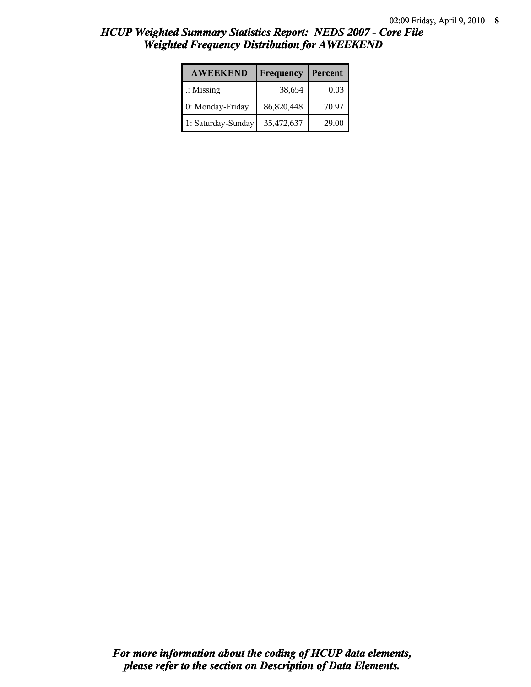| <b>AWEEKEND</b>      | Frequency  | Percent |
|----------------------|------------|---------|
| $\therefore$ Missing | 38,654     | 0.03    |
| 0: Monday-Friday     | 86,820,448 | 70.97   |
| 1: Saturday-Sunday   | 35,472,637 | 29.00   |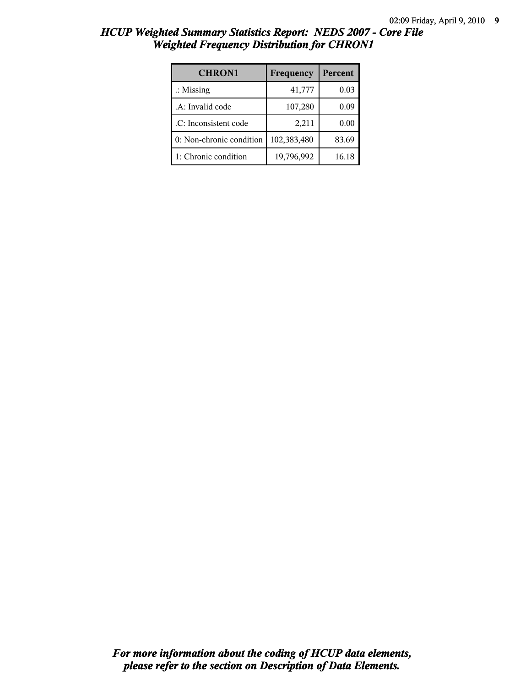| <b>CHRON1</b>            | Frequency   | Percent |
|--------------------------|-------------|---------|
| $\therefore$ Missing     | 41,777      | 0.03    |
| .A: Invalid code         | 107,280     | 0.09    |
| .C: Inconsistent code    | 2,211       | 0.00    |
| 0: Non-chronic condition | 102,383,480 | 83.69   |
| 1: Chronic condition     | 19,796,992  | 16.18   |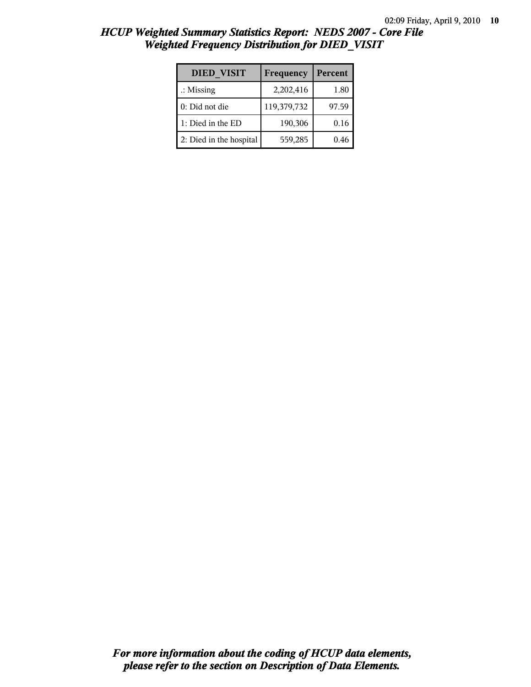| <b>DIED VISIT</b>       | Frequency   | Percent |
|-------------------------|-------------|---------|
| $\therefore$ Missing    | 2,202,416   | 1.80    |
| 0: Did not die          | 119,379,732 | 97.59   |
| 1: Died in the ED       | 190,306     | 0.16    |
| 2: Died in the hospital | 559,285     | 0.46    |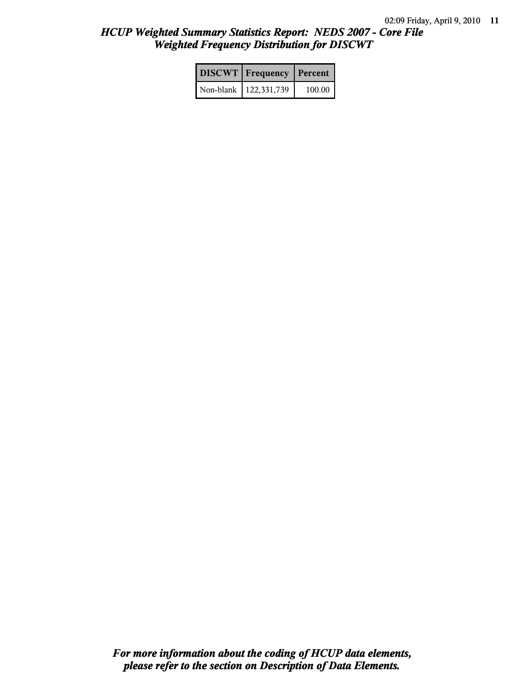| DISCWT Frequency Percent |        |
|--------------------------|--------|
| Non-blank   122,331,739  | 100.00 |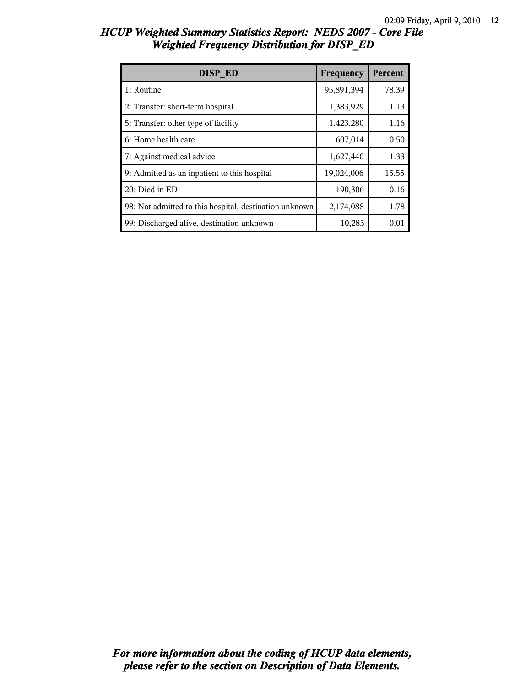| HCUP Weighted Summary Statistics Report: NEDS 2007 - Core File |  |  |
|----------------------------------------------------------------|--|--|
| <b>Weighted Frequency Distribution for DISP ED</b>             |  |  |

| DISP ED                                                | Frequency  | Percent |
|--------------------------------------------------------|------------|---------|
| 1: Routine                                             | 95,891,394 | 78.39   |
| 2: Transfer: short-term hospital                       | 1,383,929  | 1.13    |
| 5: Transfer: other type of facility                    | 1,423,280  | 1.16    |
| 6: Home health care                                    | 607,014    | 0.50    |
| 7: Against medical advice                              | 1,627,440  | 1.33    |
| 9: Admitted as an inpatient to this hospital           | 19,024,006 | 15.55   |
| 20: Died in ED                                         | 190,306    | 0.16    |
| 98: Not admitted to this hospital, destination unknown | 2,174,088  | 1.78    |
| 99: Discharged alive, destination unknown              | 10,283     | 0.01    |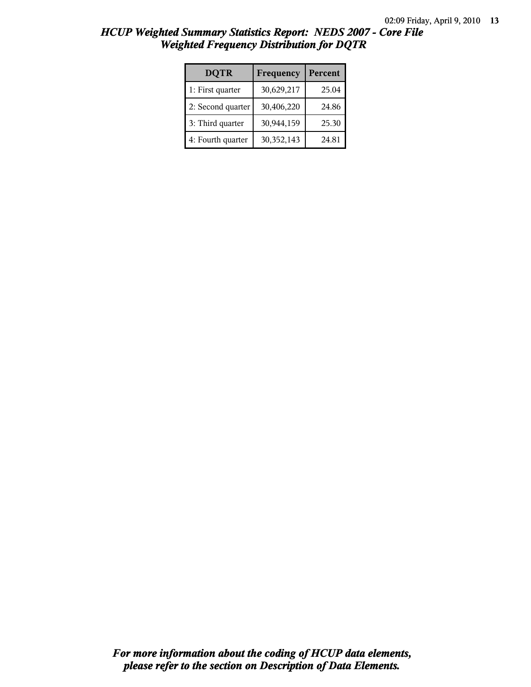| <b>DQTR</b>       | Frequency  | Percent |
|-------------------|------------|---------|
| 1: First quarter  | 30,629,217 | 25.04   |
| 2: Second quarter | 30,406,220 | 24.86   |
| 3: Third quarter  | 30,944,159 | 25.30   |
| 4: Fourth quarter | 30,352,143 | 24.81   |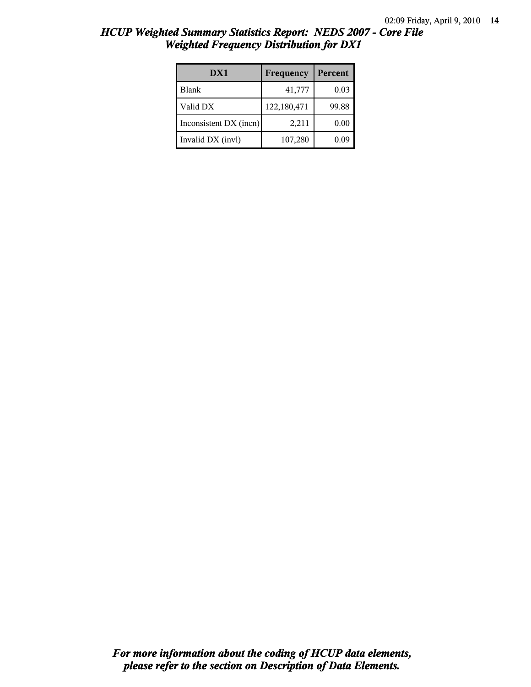| DX1                    | Frequency   | Percent |
|------------------------|-------------|---------|
| <b>Blank</b>           | 41,777      | 0.03    |
| Valid DX               | 122,180,471 | 99.88   |
| Inconsistent DX (incn) | 2,211       | 0.00    |
| Invalid DX (invl)      | 107,280     | 0.09    |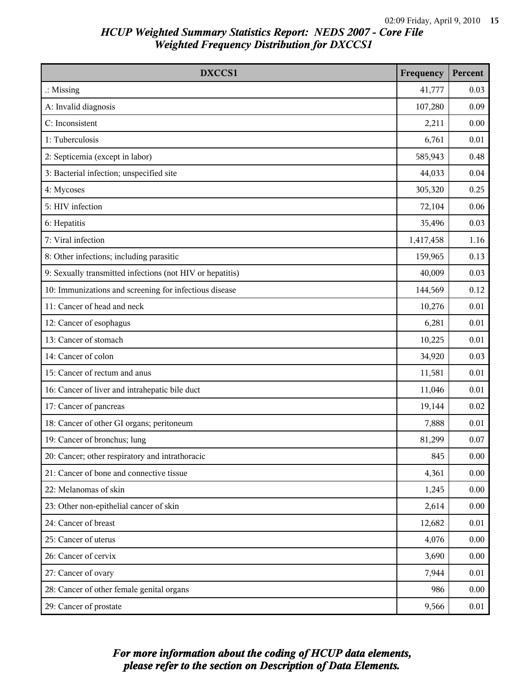| DXCCS1                                                    | Frequency | Percent |
|-----------------------------------------------------------|-----------|---------|
| $\therefore$ Missing                                      | 41,777    | 0.03    |
| A: Invalid diagnosis                                      | 107,280   | 0.09    |
| C: Inconsistent                                           | 2,211     | 0.00    |
| 1: Tuberculosis                                           | 6,761     | 0.01    |
| 2: Septicemia (except in labor)                           | 585,943   | 0.48    |
| 3: Bacterial infection; unspecified site                  | 44,033    | 0.04    |
| 4: Mycoses                                                | 305,320   | 0.25    |
| 5: HIV infection                                          | 72,104    | 0.06    |
| 6: Hepatitis                                              | 35,496    | 0.03    |
| 7: Viral infection                                        | 1,417,458 | 1.16    |
| 8: Other infections; including parasitic                  | 159,965   | 0.13    |
| 9: Sexually transmitted infections (not HIV or hepatitis) | 40,009    | 0.03    |
| 10: Immunizations and screening for infectious disease    | 144,569   | 0.12    |
| 11: Cancer of head and neck                               | 10,276    | 0.01    |
| 12: Cancer of esophagus                                   | 6,281     | 0.01    |
| 13: Cancer of stomach                                     | 10,225    | 0.01    |
| 14: Cancer of colon                                       | 34,920    | 0.03    |
| 15: Cancer of rectum and anus                             | 11,581    | 0.01    |
| 16: Cancer of liver and intrahepatic bile duct            | 11,046    | 0.01    |
| 17: Cancer of pancreas                                    | 19,144    | 0.02    |
| 18: Cancer of other GI organs; peritoneum                 | 7,888     | 0.01    |
| 19: Cancer of bronchus; lung                              | 81,299    | 0.07    |
| 20: Cancer; other respiratory and intrathoracic           | 845       | 0.00    |
| 21: Cancer of bone and connective tissue                  | 4,361     | 0.00    |
| 22: Melanomas of skin                                     | 1,245     | 0.00    |
| 23: Other non-epithelial cancer of skin                   | 2,614     | 0.00    |
| 24: Cancer of breast                                      | 12,682    | 0.01    |
| 25: Cancer of uterus                                      | 4,076     | 0.00    |
| 26: Cancer of cervix                                      | 3,690     | 0.00    |
| 27: Cancer of ovary                                       | 7,944     | 0.01    |
| 28: Cancer of other female genital organs                 | 986       | 0.00    |
| 29: Cancer of prostate                                    | 9,566     | 0.01    |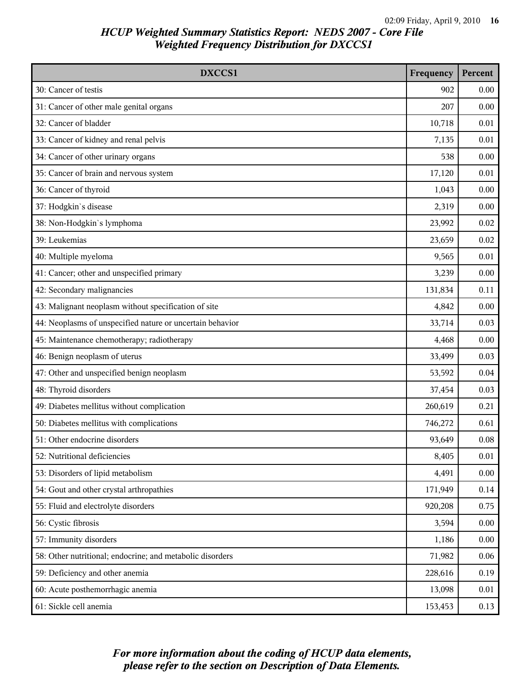| DXCCS1                                                    | Frequency | Percent |
|-----------------------------------------------------------|-----------|---------|
| 30: Cancer of testis                                      | 902       | 0.00    |
| 31: Cancer of other male genital organs                   | 207       | 0.00    |
| 32: Cancer of bladder                                     | 10,718    | 0.01    |
| 33: Cancer of kidney and renal pelvis                     | 7,135     | 0.01    |
| 34: Cancer of other urinary organs                        | 538       | 0.00    |
| 35: Cancer of brain and nervous system                    | 17,120    | 0.01    |
| 36: Cancer of thyroid                                     | 1,043     | 0.00    |
| 37: Hodgkin's disease                                     | 2,319     | 0.00    |
| 38: Non-Hodgkin's lymphoma                                | 23,992    | 0.02    |
| 39: Leukemias                                             | 23,659    | 0.02    |
| 40: Multiple myeloma                                      | 9,565     | 0.01    |
| 41: Cancer; other and unspecified primary                 | 3,239     | 0.00    |
| 42: Secondary malignancies                                | 131,834   | 0.11    |
| 43: Malignant neoplasm without specification of site      | 4,842     | 0.00    |
| 44: Neoplasms of unspecified nature or uncertain behavior | 33,714    | 0.03    |
| 45: Maintenance chemotherapy; radiotherapy                | 4,468     | 0.00    |
| 46: Benign neoplasm of uterus                             | 33,499    | 0.03    |
| 47: Other and unspecified benign neoplasm                 | 53,592    | 0.04    |
| 48: Thyroid disorders                                     | 37,454    | 0.03    |
| 49: Diabetes mellitus without complication                | 260,619   | 0.21    |
| 50: Diabetes mellitus with complications                  | 746,272   | 0.61    |
| 51: Other endocrine disorders                             | 93,649    | 0.08    |
| 52: Nutritional deficiencies                              | 8,405     | 0.01    |
| 53: Disorders of lipid metabolism                         | 4,491     | 0.00    |
| 54: Gout and other crystal arthropathies                  | 171,949   | 0.14    |
| 55: Fluid and electrolyte disorders                       | 920,208   | 0.75    |
| 56: Cystic fibrosis                                       | 3,594     | 0.00    |
| 57: Immunity disorders                                    | 1,186     | 0.00    |
| 58: Other nutritional; endocrine; and metabolic disorders | 71,982    | 0.06    |
| 59: Deficiency and other anemia                           | 228,616   | 0.19    |
| 60: Acute posthemorrhagic anemia                          | 13,098    | 0.01    |
| 61: Sickle cell anemia                                    | 153,453   | 0.13    |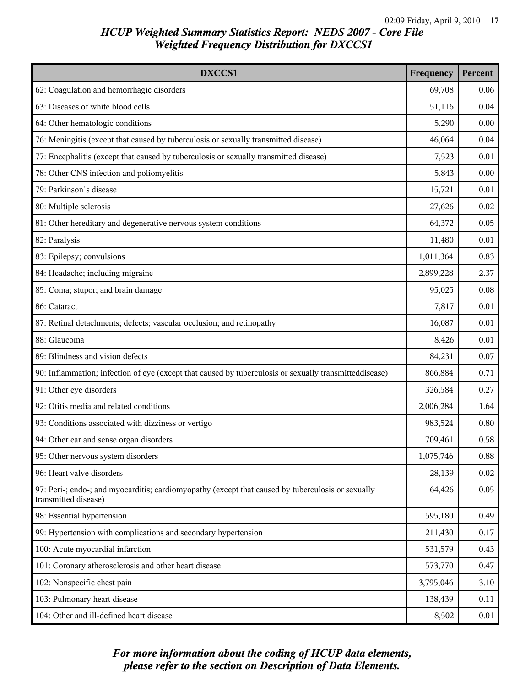| DXCCS1                                                                                                                    | Frequency | Percent |
|---------------------------------------------------------------------------------------------------------------------------|-----------|---------|
| 62: Coagulation and hemorrhagic disorders                                                                                 | 69,708    | 0.06    |
| 63: Diseases of white blood cells                                                                                         | 51,116    | 0.04    |
| 64: Other hematologic conditions                                                                                          | 5,290     | 0.00    |
| 76: Meningitis (except that caused by tuberculosis or sexually transmitted disease)                                       | 46,064    | 0.04    |
| 77: Encephalitis (except that caused by tuberculosis or sexually transmitted disease)                                     | 7,523     | 0.01    |
| 78: Other CNS infection and poliomyelitis                                                                                 | 5,843     | 0.00    |
| 79: Parkinson's disease                                                                                                   | 15,721    | 0.01    |
| 80: Multiple sclerosis                                                                                                    | 27,626    | 0.02    |
| 81: Other hereditary and degenerative nervous system conditions                                                           | 64,372    | 0.05    |
| 82: Paralysis                                                                                                             | 11,480    | 0.01    |
| 83: Epilepsy; convulsions                                                                                                 | 1,011,364 | 0.83    |
| 84: Headache; including migraine                                                                                          | 2,899,228 | 2.37    |
| 85: Coma; stupor; and brain damage                                                                                        | 95,025    | 0.08    |
| 86: Cataract                                                                                                              | 7,817     | 0.01    |
| 87: Retinal detachments; defects; vascular occlusion; and retinopathy                                                     | 16,087    | 0.01    |
| 88: Glaucoma                                                                                                              | 8,426     | 0.01    |
| 89: Blindness and vision defects                                                                                          | 84,231    | 0.07    |
| 90: Inflammation; infection of eye (except that caused by tuberculosis or sexually transmitteddisease)                    | 866,884   | 0.71    |
| 91: Other eye disorders                                                                                                   | 326,584   | 0.27    |
| 92: Otitis media and related conditions                                                                                   | 2,006,284 | 1.64    |
| 93: Conditions associated with dizziness or vertigo                                                                       | 983,524   | 0.80    |
| 94: Other ear and sense organ disorders                                                                                   | 709,461   | 0.58    |
| 95: Other nervous system disorders                                                                                        | 1,075,746 | 0.88    |
| 96: Heart valve disorders                                                                                                 | 28,139    | 0.02    |
| 97: Peri-; endo-; and myocarditis; cardiomyopathy (except that caused by tuberculosis or sexually<br>transmitted disease) | 64,426    | 0.05    |
| 98: Essential hypertension                                                                                                | 595,180   | 0.49    |
| 99: Hypertension with complications and secondary hypertension                                                            | 211,430   | 0.17    |
| 100: Acute myocardial infarction                                                                                          | 531,579   | 0.43    |
| 101: Coronary atherosclerosis and other heart disease                                                                     | 573,770   | 0.47    |
| 102: Nonspecific chest pain                                                                                               | 3,795,046 | 3.10    |
| 103: Pulmonary heart disease                                                                                              | 138,439   | 0.11    |
| 104: Other and ill-defined heart disease                                                                                  | 8,502     | 0.01    |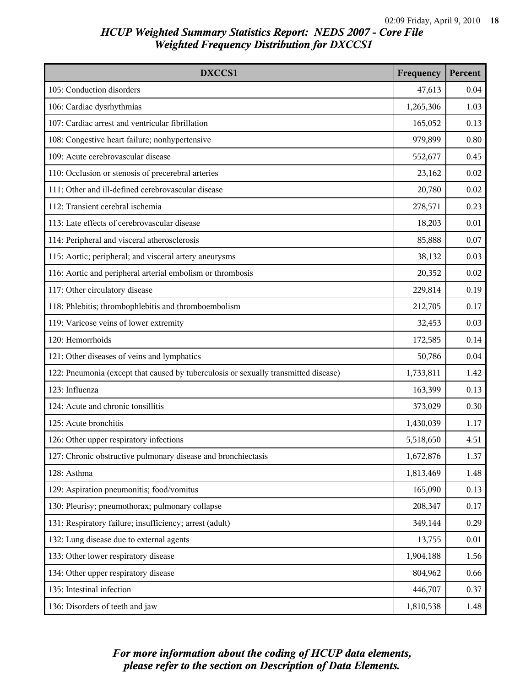| DXCCS1                                                                              | Frequency | Percent |
|-------------------------------------------------------------------------------------|-----------|---------|
| 105: Conduction disorders                                                           | 47,613    | 0.04    |
| 106: Cardiac dysrhythmias                                                           | 1,265,306 | 1.03    |
| 107: Cardiac arrest and ventricular fibrillation                                    | 165,052   | 0.13    |
| 108: Congestive heart failure; nonhypertensive                                      | 979,899   | 0.80    |
| 109: Acute cerebrovascular disease                                                  | 552,677   | 0.45    |
| 110: Occlusion or stenosis of precerebral arteries                                  | 23,162    | 0.02    |
| 111: Other and ill-defined cerebrovascular disease                                  | 20,780    | 0.02    |
| 112: Transient cerebral ischemia                                                    | 278,571   | 0.23    |
| 113: Late effects of cerebrovascular disease                                        | 18,203    | 0.01    |
| 114: Peripheral and visceral atherosclerosis                                        | 85,888    | 0.07    |
| 115: Aortic; peripheral; and visceral artery aneurysms                              | 38,132    | 0.03    |
| 116: Aortic and peripheral arterial embolism or thrombosis                          | 20,352    | 0.02    |
| 117: Other circulatory disease                                                      | 229,814   | 0.19    |
| 118: Phlebitis; thrombophlebitis and thromboembolism                                | 212,705   | 0.17    |
| 119: Varicose veins of lower extremity                                              | 32,453    | 0.03    |
| 120: Hemorrhoids                                                                    | 172,585   | 0.14    |
| 121: Other diseases of veins and lymphatics                                         | 50,786    | 0.04    |
| 122: Pneumonia (except that caused by tuberculosis or sexually transmitted disease) | 1,733,811 | 1.42    |
| 123: Influenza                                                                      | 163,399   | 0.13    |
| 124: Acute and chronic tonsillitis                                                  | 373,029   | 0.30    |
| 125: Acute bronchitis                                                               | 1,430,039 | 1.17    |
| 126: Other upper respiratory infections                                             | 5,518,650 | 4.51    |
| 127: Chronic obstructive pulmonary disease and bronchiectasis                       | 1,672,876 | 1.37    |
| 128: Asthma                                                                         | 1,813,469 | 1.48    |
| 129: Aspiration pneumonitis; food/vomitus                                           | 165,090   | 0.13    |
| 130: Pleurisy; pneumothorax; pulmonary collapse                                     | 208,347   | 0.17    |
| 131: Respiratory failure; insufficiency; arrest (adult)                             | 349,144   | 0.29    |
| 132: Lung disease due to external agents                                            | 13,755    | 0.01    |
| 133: Other lower respiratory disease                                                | 1,904,188 | 1.56    |
| 134: Other upper respiratory disease                                                | 804,962   | 0.66    |
| 135: Intestinal infection                                                           | 446,707   | 0.37    |
| 136: Disorders of teeth and jaw                                                     | 1,810,538 | 1.48    |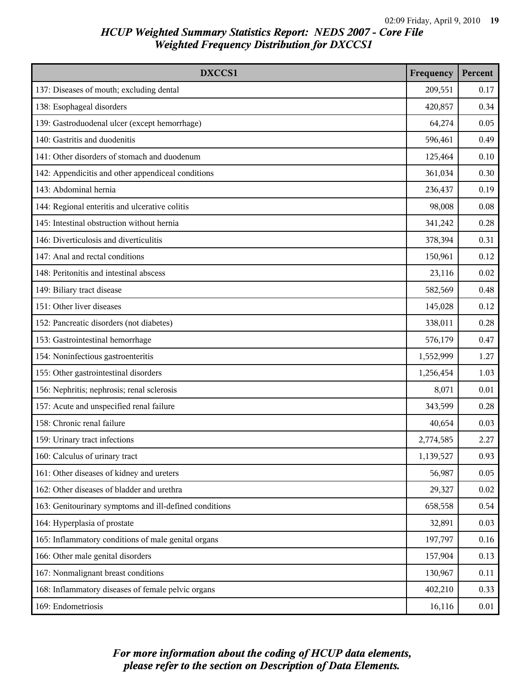| DXCCS1                                                 | Frequency | Percent |
|--------------------------------------------------------|-----------|---------|
| 137: Diseases of mouth; excluding dental               | 209,551   | 0.17    |
| 138: Esophageal disorders                              | 420,857   | 0.34    |
| 139: Gastroduodenal ulcer (except hemorrhage)          | 64,274    | 0.05    |
| 140: Gastritis and duodenitis                          | 596,461   | 0.49    |
| 141: Other disorders of stomach and duodenum           | 125,464   | 0.10    |
| 142: Appendicitis and other appendiceal conditions     | 361,034   | 0.30    |
| 143: Abdominal hernia                                  | 236,437   | 0.19    |
| 144: Regional enteritis and ulcerative colitis         | 98,008    | 0.08    |
| 145: Intestinal obstruction without hernia             | 341,242   | 0.28    |
| 146: Diverticulosis and diverticulitis                 | 378,394   | 0.31    |
| 147: Anal and rectal conditions                        | 150,961   | 0.12    |
| 148: Peritonitis and intestinal abscess                | 23,116    | 0.02    |
| 149: Biliary tract disease                             | 582,569   | 0.48    |
| 151: Other liver diseases                              | 145,028   | 0.12    |
| 152: Pancreatic disorders (not diabetes)               | 338,011   | 0.28    |
| 153: Gastrointestinal hemorrhage                       | 576,179   | 0.47    |
| 154: Noninfectious gastroenteritis                     | 1,552,999 | 1.27    |
| 155: Other gastrointestinal disorders                  | 1,256,454 | 1.03    |
| 156: Nephritis; nephrosis; renal sclerosis             | 8,071     | 0.01    |
| 157: Acute and unspecified renal failure               | 343,599   | 0.28    |
| 158: Chronic renal failure                             | 40,654    | 0.03    |
| 159: Urinary tract infections                          | 2,774,585 | 2.27    |
| 160: Calculus of urinary tract                         | 1,139,527 | 0.93    |
| 161: Other diseases of kidney and ureters              | 56,987    | 0.05    |
| 162: Other diseases of bladder and urethra             | 29,327    | 0.02    |
| 163: Genitourinary symptoms and ill-defined conditions | 658,558   | 0.54    |
| 164: Hyperplasia of prostate                           | 32,891    | 0.03    |
| 165: Inflammatory conditions of male genital organs    | 197,797   | 0.16    |
| 166: Other male genital disorders                      | 157,904   | 0.13    |
| 167: Nonmalignant breast conditions                    | 130,967   | 0.11    |
| 168: Inflammatory diseases of female pelvic organs     | 402,210   | 0.33    |
| 169: Endometriosis                                     | 16,116    | 0.01    |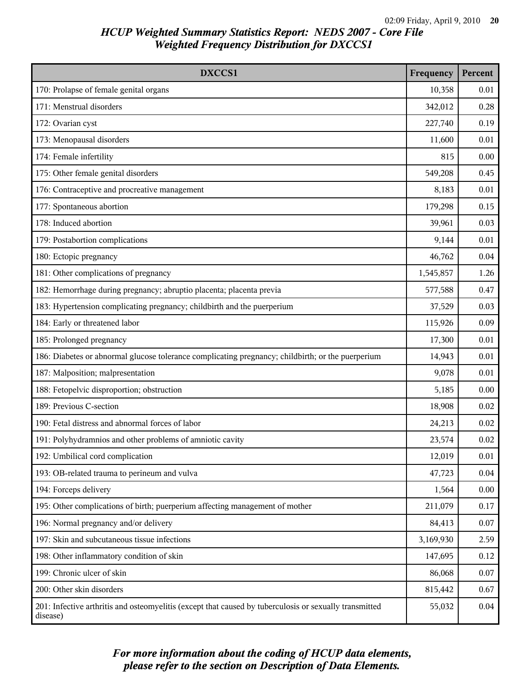| DXCCS1                                                                                                             | Frequency | Percent |
|--------------------------------------------------------------------------------------------------------------------|-----------|---------|
| 170: Prolapse of female genital organs                                                                             | 10,358    | 0.01    |
| 171: Menstrual disorders                                                                                           | 342,012   | 0.28    |
| 172: Ovarian cyst                                                                                                  | 227,740   | 0.19    |
| 173: Menopausal disorders                                                                                          | 11,600    | 0.01    |
| 174: Female infertility                                                                                            | 815       | 0.00    |
| 175: Other female genital disorders                                                                                | 549,208   | 0.45    |
| 176: Contraceptive and procreative management                                                                      | 8,183     | 0.01    |
| 177: Spontaneous abortion                                                                                          | 179,298   | 0.15    |
| 178: Induced abortion                                                                                              | 39,961    | 0.03    |
| 179: Postabortion complications                                                                                    | 9,144     | 0.01    |
| 180: Ectopic pregnancy                                                                                             | 46,762    | 0.04    |
| 181: Other complications of pregnancy                                                                              | 1,545,857 | 1.26    |
| 182: Hemorrhage during pregnancy; abruptio placenta; placenta previa                                               | 577,588   | 0.47    |
| 183: Hypertension complicating pregnancy; childbirth and the puerperium                                            | 37,529    | 0.03    |
| 184: Early or threatened labor                                                                                     | 115,926   | 0.09    |
| 185: Prolonged pregnancy                                                                                           | 17,300    | 0.01    |
| 186: Diabetes or abnormal glucose tolerance complicating pregnancy; childbirth; or the puerperium                  | 14,943    | 0.01    |
| 187: Malposition; malpresentation                                                                                  | 9,078     | 0.01    |
| 188: Fetopelvic disproportion; obstruction                                                                         | 5,185     | 0.00    |
| 189: Previous C-section                                                                                            | 18,908    | 0.02    |
| 190: Fetal distress and abnormal forces of labor                                                                   | 24,213    | 0.02    |
| 191: Polyhydramnios and other problems of amniotic cavity                                                          | 23,574    | 0.02    |
| 192: Umbilical cord complication                                                                                   | 12,019    | 0.01    |
| 193: OB-related trauma to perineum and vulva                                                                       | 47,723    | 0.04    |
| 194: Forceps delivery                                                                                              | 1,564     | 0.00    |
| 195: Other complications of birth; puerperium affecting management of mother                                       | 211,079   | 0.17    |
| 196: Normal pregnancy and/or delivery                                                                              | 84,413    | 0.07    |
| 197: Skin and subcutaneous tissue infections                                                                       | 3,169,930 | 2.59    |
| 198: Other inflammatory condition of skin                                                                          | 147,695   | 0.12    |
| 199: Chronic ulcer of skin                                                                                         | 86,068    | 0.07    |
| 200: Other skin disorders                                                                                          | 815,442   | 0.67    |
| 201: Infective arthritis and osteomyelitis (except that caused by tuberculosis or sexually transmitted<br>disease) | 55,032    | 0.04    |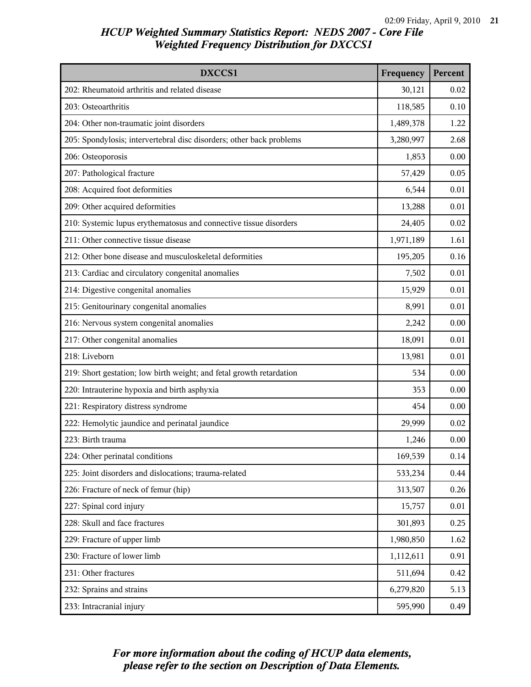| DXCCS1                                                               | Frequency | Percent |
|----------------------------------------------------------------------|-----------|---------|
| 202: Rheumatoid arthritis and related disease                        | 30,121    | 0.02    |
| 203: Osteoarthritis                                                  | 118,585   | 0.10    |
| 204: Other non-traumatic joint disorders                             | 1,489,378 | 1.22    |
| 205: Spondylosis; intervertebral disc disorders; other back problems | 3,280,997 | 2.68    |
| 206: Osteoporosis                                                    | 1,853     | 0.00    |
| 207: Pathological fracture                                           | 57,429    | 0.05    |
| 208: Acquired foot deformities                                       | 6,544     | 0.01    |
| 209: Other acquired deformities                                      | 13,288    | 0.01    |
| 210: Systemic lupus erythematosus and connective tissue disorders    | 24,405    | 0.02    |
| 211: Other connective tissue disease                                 | 1,971,189 | 1.61    |
| 212: Other bone disease and musculoskeletal deformities              | 195,205   | 0.16    |
| 213: Cardiac and circulatory congenital anomalies                    | 7,502     | 0.01    |
| 214: Digestive congenital anomalies                                  | 15,929    | 0.01    |
| 215: Genitourinary congenital anomalies                              | 8,991     | 0.01    |
| 216: Nervous system congenital anomalies                             | 2,242     | 0.00    |
| 217: Other congenital anomalies                                      | 18,091    | 0.01    |
| 218: Liveborn                                                        | 13,981    | 0.01    |
| 219: Short gestation; low birth weight; and fetal growth retardation | 534       | 0.00    |
| 220: Intrauterine hypoxia and birth asphyxia                         | 353       | 0.00    |
| 221: Respiratory distress syndrome                                   | 454       | 0.00    |
| 222: Hemolytic jaundice and perinatal jaundice                       | 29,999    | 0.02    |
| 223: Birth trauma                                                    | 1,246     | 0.00    |
| 224: Other perinatal conditions                                      | 169,539   | 0.14    |
| 225: Joint disorders and dislocations; trauma-related                | 533,234   | 0.44    |
| 226: Fracture of neck of femur (hip)                                 | 313,507   | 0.26    |
| 227: Spinal cord injury                                              | 15,757    | 0.01    |
| 228: Skull and face fractures                                        | 301,893   | 0.25    |
| 229: Fracture of upper limb                                          | 1,980,850 | 1.62    |
| 230: Fracture of lower limb                                          | 1,112,611 | 0.91    |
| 231: Other fractures                                                 | 511,694   | 0.42    |
| 232: Sprains and strains                                             | 6,279,820 | 5.13    |
| 233: Intracranial injury                                             | 595,990   | 0.49    |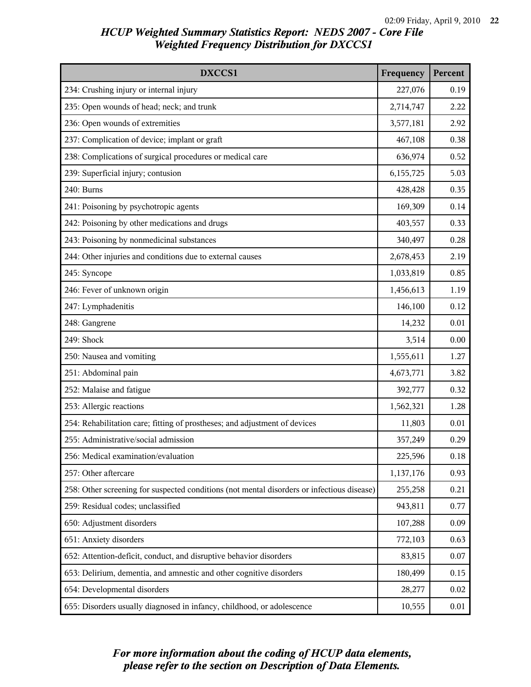| DXCCS1                                                                                     | Frequency | Percent |
|--------------------------------------------------------------------------------------------|-----------|---------|
| 234: Crushing injury or internal injury                                                    | 227,076   | 0.19    |
| 235: Open wounds of head; neck; and trunk                                                  | 2,714,747 | 2.22    |
| 236: Open wounds of extremities                                                            | 3,577,181 | 2.92    |
| 237: Complication of device; implant or graft                                              | 467,108   | 0.38    |
| 238: Complications of surgical procedures or medical care                                  | 636,974   | 0.52    |
| 239: Superficial injury; contusion                                                         | 6,155,725 | 5.03    |
| 240: Burns                                                                                 | 428,428   | 0.35    |
| 241: Poisoning by psychotropic agents                                                      | 169,309   | 0.14    |
| 242: Poisoning by other medications and drugs                                              | 403,557   | 0.33    |
| 243: Poisoning by nonmedicinal substances                                                  | 340,497   | 0.28    |
| 244: Other injuries and conditions due to external causes                                  | 2,678,453 | 2.19    |
| 245: Syncope                                                                               | 1,033,819 | 0.85    |
| 246: Fever of unknown origin                                                               | 1,456,613 | 1.19    |
| 247: Lymphadenitis                                                                         | 146,100   | 0.12    |
| 248: Gangrene                                                                              | 14,232    | 0.01    |
| 249: Shock                                                                                 | 3,514     | 0.00    |
| 250: Nausea and vomiting                                                                   | 1,555,611 | 1.27    |
| 251: Abdominal pain                                                                        | 4,673,771 | 3.82    |
| 252: Malaise and fatigue                                                                   | 392,777   | 0.32    |
| 253: Allergic reactions                                                                    | 1,562,321 | 1.28    |
| 254: Rehabilitation care; fitting of prostheses; and adjustment of devices                 | 11,803    | 0.01    |
| 255: Administrative/social admission                                                       | 357,249   | 0.29    |
| 256: Medical examination/evaluation                                                        | 225,596   | 0.18    |
| 257: Other aftercare                                                                       | 1,137,176 | 0.93    |
| 258: Other screening for suspected conditions (not mental disorders or infectious disease) | 255,258   | 0.21    |
| 259: Residual codes; unclassified                                                          | 943,811   | 0.77    |
| 650: Adjustment disorders                                                                  | 107,288   | 0.09    |
| 651: Anxiety disorders                                                                     | 772,103   | 0.63    |
| 652: Attention-deficit, conduct, and disruptive behavior disorders                         | 83,815    | 0.07    |
| 653: Delirium, dementia, and amnestic and other cognitive disorders                        | 180,499   | 0.15    |
| 654: Developmental disorders                                                               | 28,277    | 0.02    |
| 655: Disorders usually diagnosed in infancy, childhood, or adolescence                     | 10,555    | 0.01    |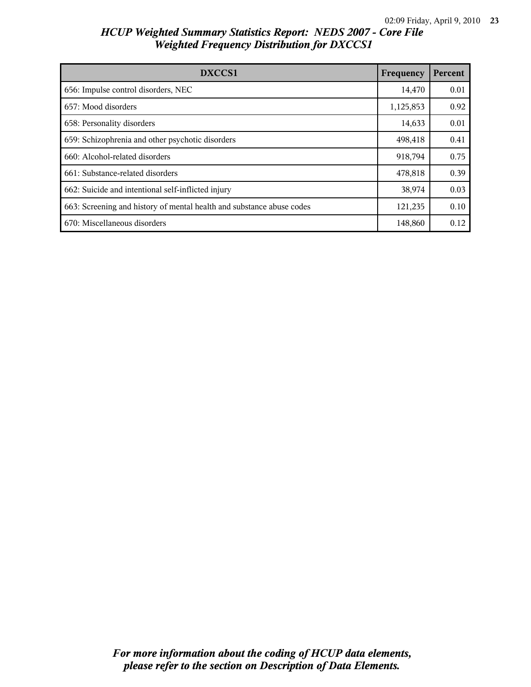| DXCCS1                                                                | Frequency | Percent |
|-----------------------------------------------------------------------|-----------|---------|
| 656: Impulse control disorders, NEC                                   | 14,470    | 0.01    |
| 657: Mood disorders                                                   | 1,125,853 | 0.92    |
| 658: Personality disorders                                            | 14,633    | 0.01    |
| 659: Schizophrenia and other psychotic disorders                      | 498,418   | 0.41    |
| 660: Alcohol-related disorders                                        | 918,794   | 0.75    |
| 661: Substance-related disorders                                      | 478,818   | 0.39    |
| 662: Suicide and intentional self-inflicted injury                    | 38,974    | 0.03    |
| 663: Screening and history of mental health and substance abuse codes | 121,235   | 0.10    |
| 670: Miscellaneous disorders                                          | 148,860   | 0.12    |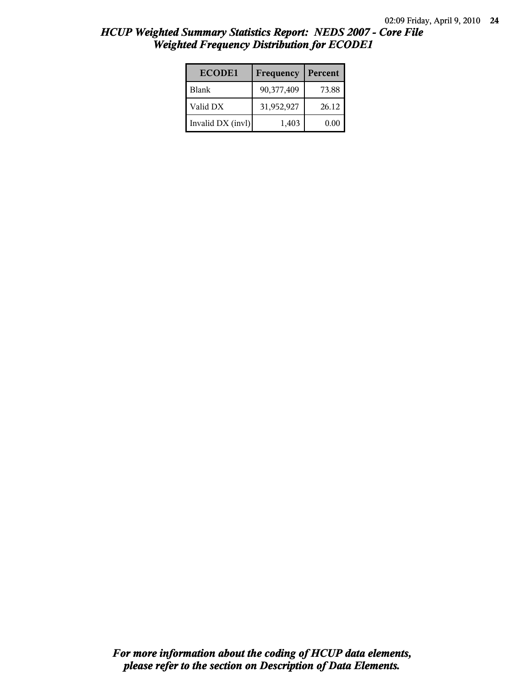| <b>ECODE1</b>     | Frequency  | Percent |
|-------------------|------------|---------|
| <b>Blank</b>      | 90,377,409 | 73.88   |
| Valid DX          | 31,952,927 | 26.12   |
| Invalid DX (invl) | 1,403      | 0.00    |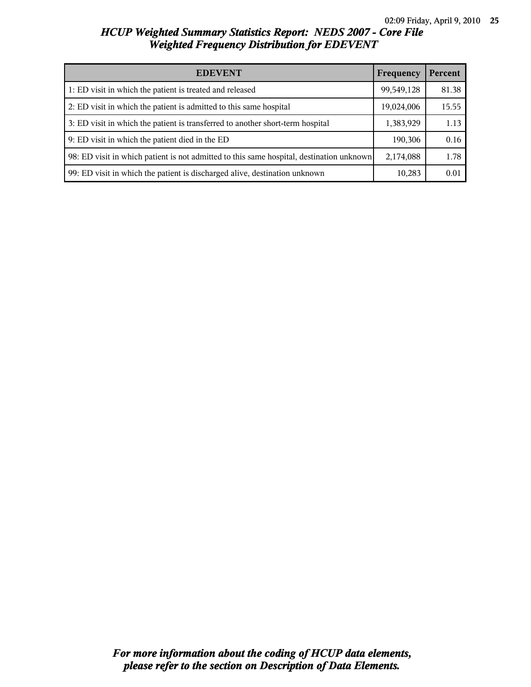| <b>EDEVENT</b>                                                                           | Frequency  | Percent |
|------------------------------------------------------------------------------------------|------------|---------|
| 1: ED visit in which the patient is treated and released                                 | 99,549,128 | 81.38   |
| 2: ED visit in which the patient is admitted to this same hospital                       | 19,024,006 | 15.55   |
| 3: ED visit in which the patient is transferred to another short-term hospital           | 1,383,929  | 1.13    |
| 9: ED visit in which the patient died in the ED                                          | 190,306    | 0.16    |
| 98: ED visit in which patient is not admitted to this same hospital, destination unknown | 2,174,088  | 1.78    |
| 99: ED visit in which the patient is discharged alive, destination unknown               | 10,283     | 0.01    |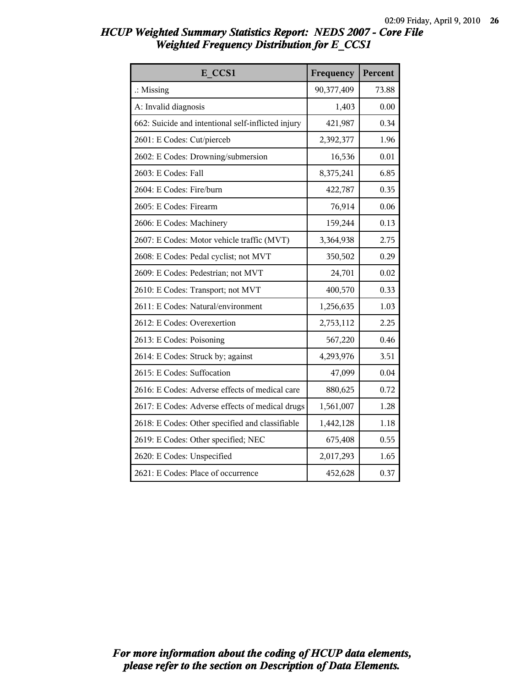| E CCS1                                             | Frequency  | Percent |
|----------------------------------------------------|------------|---------|
| $\therefore$ Missing                               | 90,377,409 | 73.88   |
| A: Invalid diagnosis                               | 1,403      | 0.00    |
| 662: Suicide and intentional self-inflicted injury | 421,987    | 0.34    |
| 2601: E Codes: Cut/pierceb                         | 2,392,377  | 1.96    |
| 2602: E Codes: Drowning/submersion                 | 16,536     | 0.01    |
| 2603: E Codes: Fall                                | 8,375,241  | 6.85    |
| 2604: E Codes: Fire/burn                           | 422,787    | 0.35    |
| 2605: E Codes: Firearm                             | 76,914     | 0.06    |
| 2606: E Codes: Machinery                           | 159,244    | 0.13    |
| 2607: E Codes: Motor vehicle traffic (MVT)         | 3,364,938  | 2.75    |
| 2608: E Codes: Pedal cyclist; not MVT              | 350,502    | 0.29    |
| 2609: E Codes: Pedestrian; not MVT                 | 24,701     | 0.02    |
| 2610: E Codes: Transport; not MVT                  | 400,570    | 0.33    |
| 2611: E Codes: Natural/environment                 | 1,256,635  | 1.03    |
| 2612: E Codes: Overexertion                        | 2,753,112  | 2.25    |
| 2613: E Codes: Poisoning                           | 567,220    | 0.46    |
| 2614: E Codes: Struck by; against                  | 4,293,976  | 3.51    |
| 2615: E Codes: Suffocation                         | 47,099     | 0.04    |
| 2616: E Codes: Adverse effects of medical care     | 880,625    | 0.72    |
| 2617: E Codes: Adverse effects of medical drugs    | 1,561,007  | 1.28    |
| 2618: E Codes: Other specified and classifiable    | 1,442,128  | 1.18    |
| 2619: E Codes: Other specified; NEC                | 675,408    | 0.55    |
| 2620: E Codes: Unspecified                         | 2,017,293  | 1.65    |
| 2621: E Codes: Place of occurrence                 | 452,628    | 0.37    |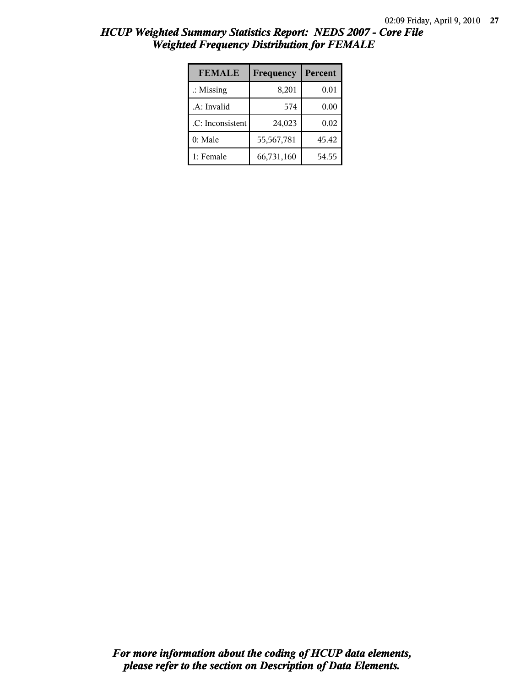| <b>FEMALE</b>        | Frequency  | Percent |
|----------------------|------------|---------|
| $\therefore$ Missing | 8,201      | 0.01    |
| .A: Invalid          | 574        | 0.00    |
| .C: Inconsistent     | 24,023     | 0.02    |
| $0:$ Male            | 55,567,781 | 45.42   |
| 1: Female            | 66,731,160 | 54.55   |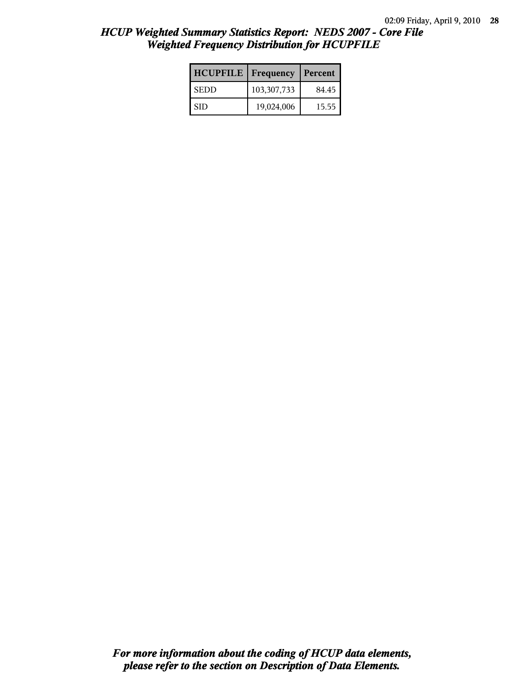| <b>HCUPFILE</b> | <b>Frequency</b> | Percent |
|-----------------|------------------|---------|
| <b>SEDD</b>     | 103, 307, 733    | 84.45   |
| SID             | 19,024,006       | 15.55   |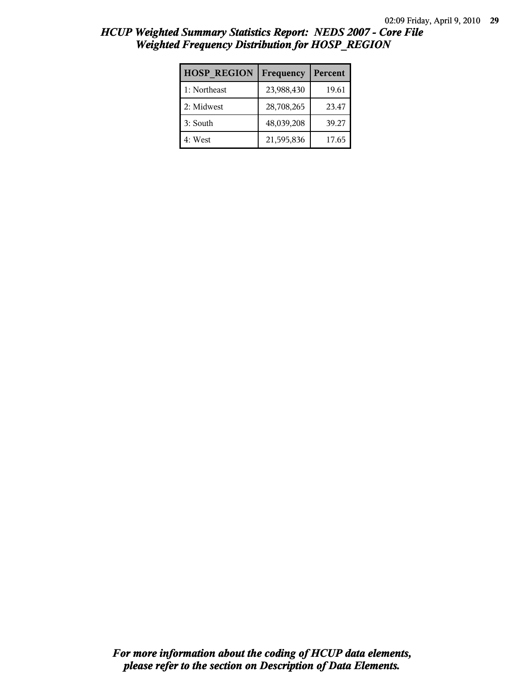| <b>HOSP REGION</b> | Frequency  | Percent |
|--------------------|------------|---------|
| 1: Northeast       | 23,988,430 | 19.61   |
| 2: Midwest         | 28,708,265 | 23.47   |
| 3: South           | 48,039,208 | 39.27   |
| 4: West            | 21,595,836 | 17.65   |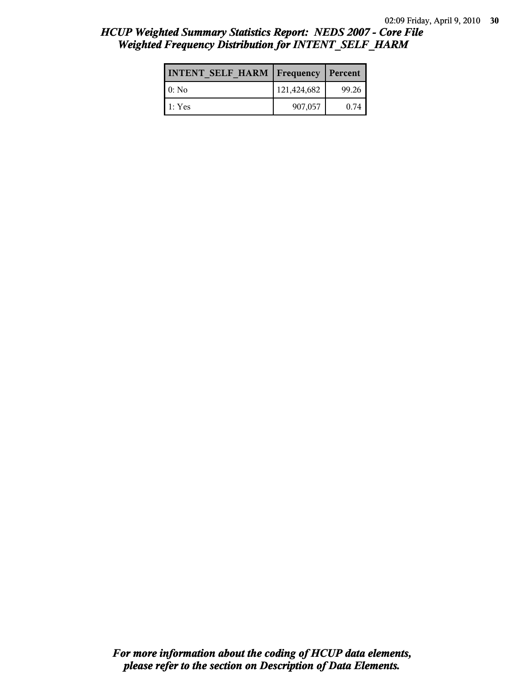| <b>INTENT SELF HARM   Frequency</b> |             | <b>Percent</b> |
|-------------------------------------|-------------|----------------|
| l 0: No                             | 121,424,682 | 99.26          |
| l 1: Yes                            | 907,057     | 0.74           |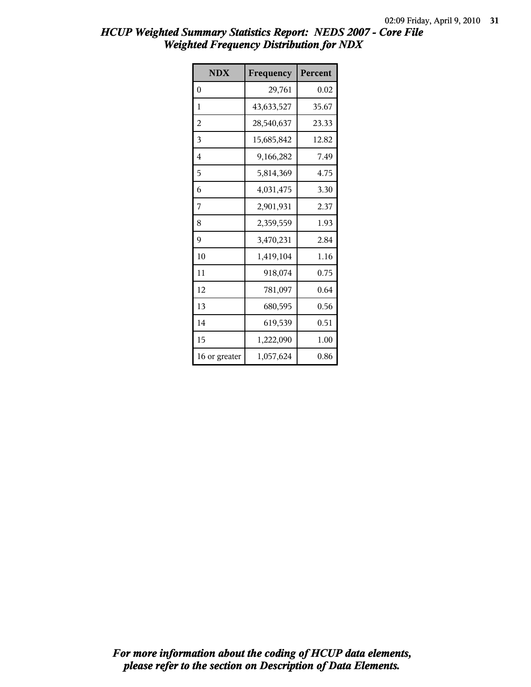| <b>NDX</b>    | Frequency  | Percent |
|---------------|------------|---------|
| $\theta$      | 29,761     | 0.02    |
| 1             | 43,633,527 | 35.67   |
| 2             | 28,540,637 | 23.33   |
| 3             | 15,685,842 | 12.82   |
| 4             | 9,166,282  | 7.49    |
| 5             | 5,814,369  | 4.75    |
| 6             | 4,031,475  | 3.30    |
| 7             | 2,901,931  | 2.37    |
| 8             | 2,359,559  | 1.93    |
| 9             | 3,470,231  | 2.84    |
| 10            | 1,419,104  | 1.16    |
| 11            | 918,074    | 0.75    |
| 12            | 781,097    | 0.64    |
| 13            | 680,595    | 0.56    |
| 14            | 619,539    | 0.51    |
| 15            | 1,222,090  | 1.00    |
| 16 or greater | 1,057,624  | 0.86    |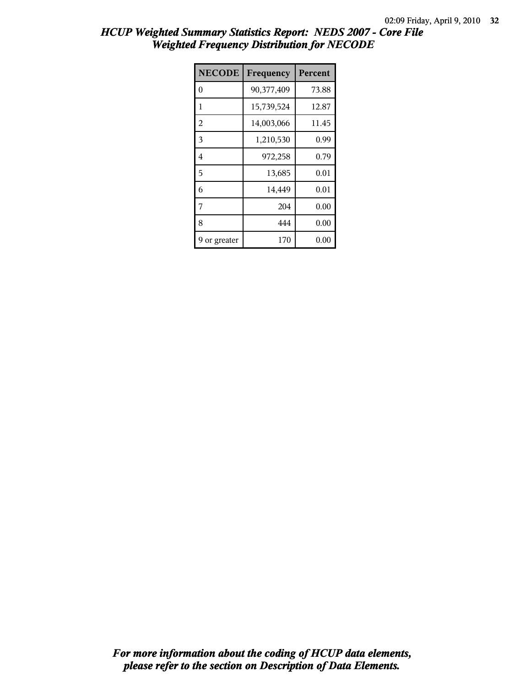| <b>NECODE</b>  | Frequency  | Percent |
|----------------|------------|---------|
| $\theta$       | 90,377,409 | 73.88   |
| 1              | 15,739,524 | 12.87   |
| $\overline{2}$ | 14,003,066 | 11.45   |
| 3              | 1,210,530  | 0.99    |
| 4              | 972,258    | 0.79    |
| 5              | 13,685     | 0.01    |
| 6              | 14,449     | 0.01    |
| 7              | 204        | 0.00    |
| 8              | 444        | 0.00    |
| or greater     | 170        | 0.00    |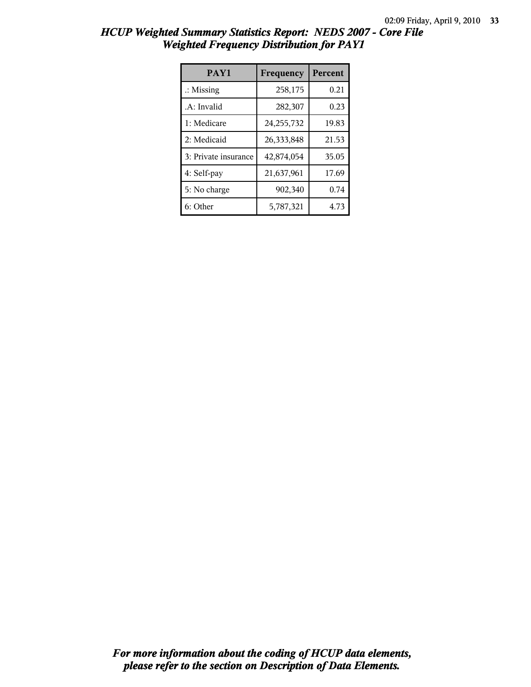| PAY1                 | Frequency    | <b>Percent</b> |
|----------------------|--------------|----------------|
| $\therefore$ Missing | 258,175      | 0.21           |
| .A: Invalid          | 282,307      | 0.23           |
| 1: Medicare          | 24, 255, 732 | 19.83          |
| 2: Medicaid          | 26,333,848   | 21.53          |
| 3: Private insurance | 42,874,054   | 35.05          |
| 4: Self-pay          | 21,637,961   | 17.69          |
| 5: No charge         | 902,340      | 0.74           |
| 6: Other             | 5,787,321    | 4.73           |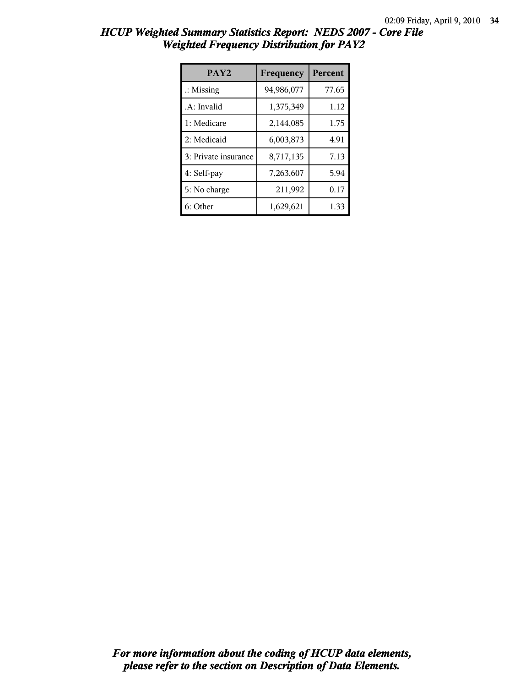| PAY <sub>2</sub>     | Frequency  | <b>Percent</b> |
|----------------------|------------|----------------|
| $\therefore$ Missing | 94,986,077 | 77.65          |
| .A: Invalid          | 1,375,349  | 1.12           |
| 1: Medicare          | 2,144,085  | 1.75           |
| 2: Medicaid          | 6,003,873  | 4.91           |
| 3: Private insurance | 8,717,135  | 7.13           |
| 4: Self-pay          | 7,263,607  | 5.94           |
| 5: No charge         | 211,992    | 0.17           |
| 6: Other             | 1,629,621  | 1.33           |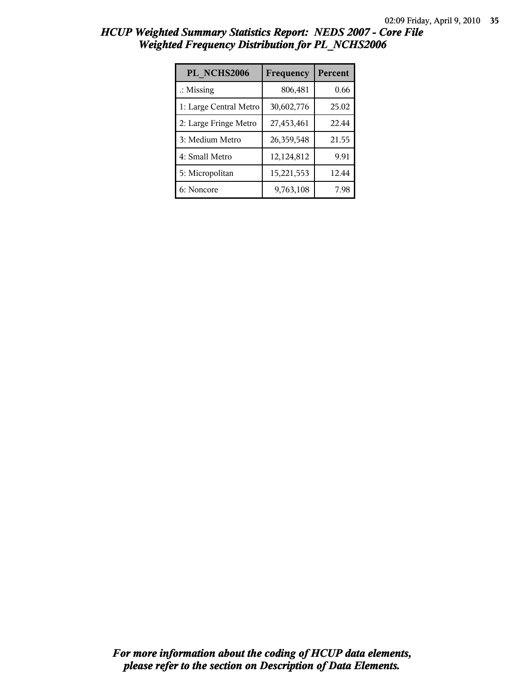| PL NCHS2006            | Frequency  | Percent |
|------------------------|------------|---------|
| $\therefore$ Missing   | 806,481    | 0.66    |
| 1: Large Central Metro | 30,602,776 | 25.02   |
| 2: Large Fringe Metro  | 27,453,461 | 22.44   |
| 3: Medium Metro        | 26,359,548 | 21.55   |
| 4: Small Metro         | 12,124,812 | 9.91    |
| 5: Micropolitan        | 15,221,553 | 12.44   |
| 6: Noncore             | 9,763,108  | 7.98    |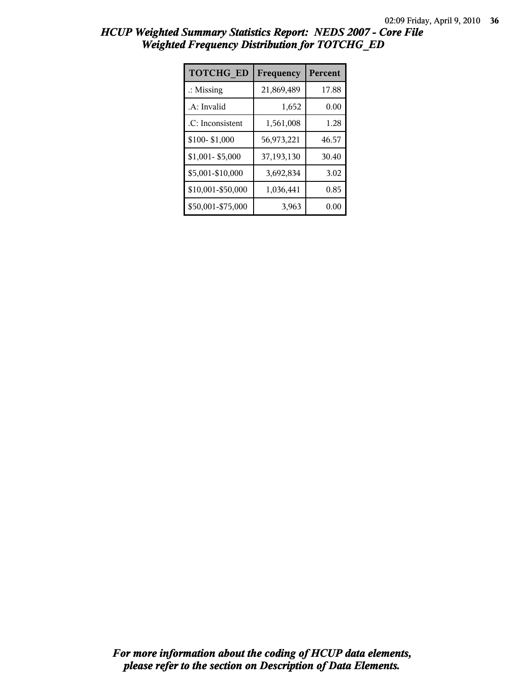| <b>TOTCHG ED</b>     | Frequency  | Percent |
|----------------------|------------|---------|
| $\therefore$ Missing | 21,869,489 | 17.88   |
| .A: Invalid          | 1,652      | 0.00    |
| .C: Inconsistent     | 1,561,008  | 1.28    |
| \$100-\$1,000        | 56,973,221 | 46.57   |
| \$1,001-\$5,000      | 37,193,130 | 30.40   |
| \$5,001-\$10,000     | 3,692,834  | 3.02    |
| \$10,001-\$50,000    | 1,036,441  | 0.85    |
| \$50,001-\$75,000    | 3,963      | 0.00    |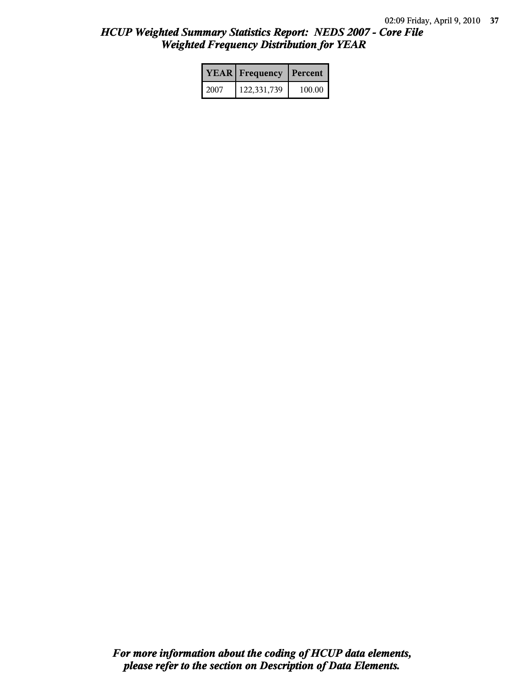|        | <b>YEAR</b> Frequency | Percent  |  |
|--------|-----------------------|----------|--|
| l 2007 | 122,331,739           | $100.00$ |  |